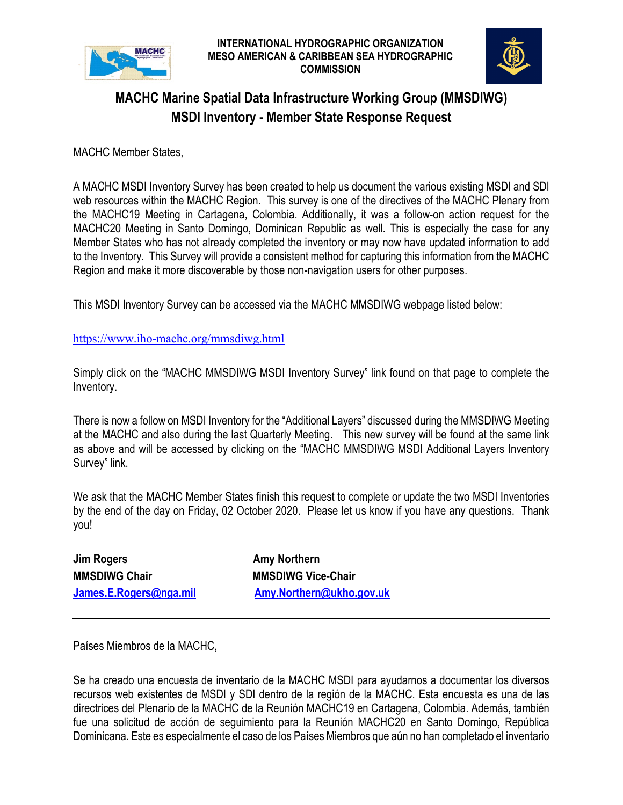



## **MACHC Marine Spatial Data Infrastructure Working Group (MMSDIWG) MSDI Inventory - Member State Response Request**

MACHC Member States,

A MACHC MSDI Inventory Survey has been created to help us document the various existing MSDI and SDI web resources within the MACHC Region. This survey is one of the directives of the MACHC Plenary from the MACHC19 Meeting in Cartagena, Colombia. Additionally, it was a follow-on action request for the MACHC20 Meeting in Santo Domingo, Dominican Republic as well. This is especially the case for any Member States who has not already completed the inventory or may now have updated information to add to the Inventory. This Survey will provide a consistent method for capturing this information from the MACHC Region and make it more discoverable by those non-navigation users for other purposes.

This MSDI Inventory Survey can be accessed via the MACHC MMSDIWG webpage listed below:

<https://www.iho-machc.org/mmsdiwg.html>

Simply click on the "MACHC MMSDIWG MSDI Inventory Survey" link found on that page to complete the Inventory.

There is now a follow on MSDI Inventory for the "Additional Layers" discussed during the MMSDIWG Meeting at the MACHC and also during the last Quarterly Meeting. This new survey will be found at the same link as above and will be accessed by clicking on the "MACHC MMSDIWG MSDI Additional Layers Inventory Survey" link.

We ask that the MACHC Member States finish this request to complete or update the two MSDI Inventories by the end of the day on Friday, 02 October 2020. Please let us know if you have any questions. Thank you!

**Jim Rogers Communist Communist Communist Communist Communist Communist Communist Communist Communist Communist Communist Communist Communist Communist Communist Communist Communist Communist Communist Communist Communist MMSDIWG Chair MMSDIWG Vice-Chair** 

**[James.E.Rogers@nga.mil](mailto:James.E.Rogers@nga.mil) [Amy.Northern@ukho.gov.uk](mailto:Amy.Northern@ukho.gov.uk)** 

Países Miembros de la MACHC,

Se ha creado una encuesta de inventario de la MACHC MSDI para ayudarnos a documentar los diversos recursos web existentes de MSDI y SDI dentro de la región de la MACHC. Esta encuesta es una de las directrices del Plenario de la MACHC de la Reunión MACHC19 en Cartagena, Colombia. Además, también fue una solicitud de acción de seguimiento para la Reunión MACHC20 en Santo Domingo, República Dominicana. Este es especialmente el caso de los Países Miembros que aún no han completado el inventario